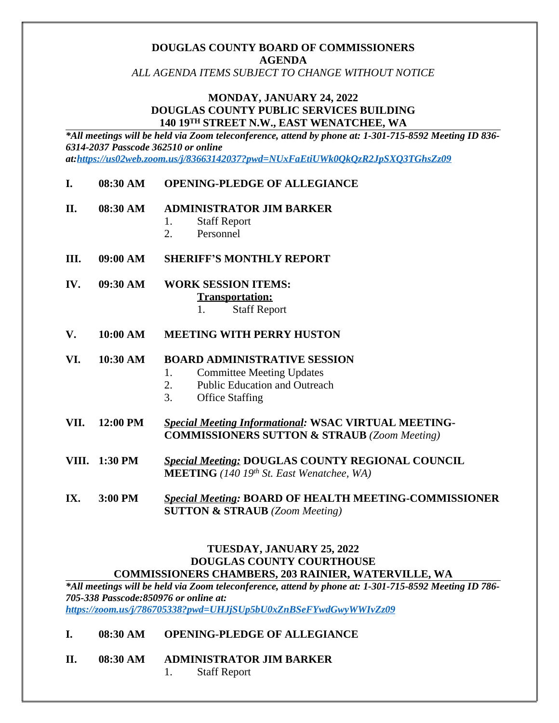#### **DOUGLAS COUNTY BOARD OF COMMISSIONERS AGENDA**

*ALL AGENDA ITEMS SUBJECT TO CHANGE WITHOUT NOTICE*

#### **MONDAY, JANUARY 24, 2022 DOUGLAS COUNTY PUBLIC SERVICES BUILDING 140 19TH STREET N.W., EAST WENATCHEE, WA**

*\*All meetings will be held via Zoom teleconference, attend by phone at: 1-301-715-8592 Meeting ID 836- 6314-2037 Passcode 362510 or online at[:https://us02web.zoom.us/j/83663142037?pwd=NUxFaEtiUWk0QkQzR2JpSXQ3TGhsZz09](https://us02web.zoom.us/j/83663142037?pwd=NUxFaEtiUWk0QkQzR2JpSXQ3TGhsZz09)*

**I. 08:30 AM OPENING-PLEDGE OF ALLEGIANCE**

#### **II. 08:30 AM ADMINISTRATOR JIM BARKER**

- 1. Staff Report
- 2. Personnel
- **III. 09:00 AM SHERIFF'S MONTHLY REPORT**
- **IV. 09:30 AM WORK SESSION ITEMS: Transportation:**
	- 1. Staff Report
- **V. 10:00 AM MEETING WITH PERRY HUSTON**
- **VI. 10:30 AM BOARD ADMINISTRATIVE SESSION**
	- 1. Committee Meeting Updates
	- 2. Public Education and Outreach
	- 3. Office Staffing
- **VII. 12:00 PM** *Special Meeting Informational:* **WSAC VIRTUAL MEETING-COMMISSIONERS SUTTON & STRAUB** *(Zoom Meeting)*
- **VIII. 1:30 PM** *Special Meeting:* **DOUGLAS COUNTY REGIONAL COUNCIL MEETING** *(140 19th St. East Wenatchee, WA)*
- **IX. 3:00 PM** *Special Meeting:* **BOARD OF HEALTH MEETING-COMMISSIONER SUTTON & STRAUB** *(Zoom Meeting)*

#### **TUESDAY, JANUARY 25, 2022 DOUGLAS COUNTY COURTHOUSE COMMISSIONERS CHAMBERS, 203 RAINIER, WATERVILLE, WA**

*\*All meetings will be held via Zoom teleconference, attend by phone at: 1-301-715-8592 Meeting ID 786- 705-338 Passcode:850976 or online at:* 

*<https://zoom.us/j/786705338?pwd=UHJjSUp5bU0xZnBSeFYwdGwyWWIvZz09>*

#### **I. 08:30 AM OPENING-PLEDGE OF ALLEGIANCE**

#### **II. 08:30 AM ADMINISTRATOR JIM BARKER**

1. Staff Report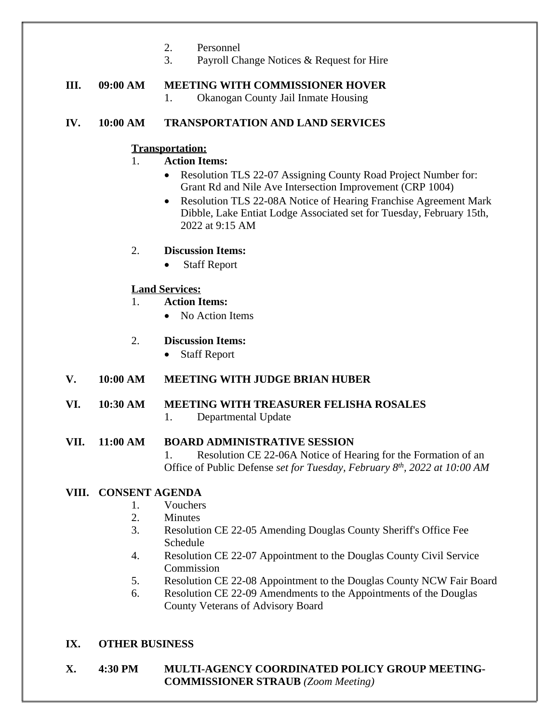- 2. Personnel
- 3. Payroll Change Notices & Request for Hire

# **III. 09:00 AM MEETING WITH COMMISSIONER HOVER**

1. Okanogan County Jail Inmate Housing

### **IV. 10:00 AM TRANSPORTATION AND LAND SERVICES**

# **Transportation:**

- 1. **Action Items:**
	- Resolution TLS 22-07 Assigning County Road Project Number for: Grant Rd and Nile Ave Intersection Improvement (CRP 1004)
	- Resolution TLS 22-08A Notice of Hearing Franchise Agreement Mark Dibble, Lake Entiat Lodge Associated set for Tuesday, February 15th, 2022 at 9:15 AM

#### 2. **Discussion Items:**

• Staff Report

# **Land Services:**

- 1. **Action Items:**
	- No Action Items

# 2. **Discussion Items:**

• Staff Report

# **V. 10:00 AM MEETING WITH JUDGE BRIAN HUBER**

# **VI. 10:30 AM MEETING WITH TREASURER FELISHA ROSALES**

1. Departmental Update

#### **VII. 11:00 AM BOARD ADMINISTRATIVE SESSION**

1. Resolution CE 22-06A Notice of Hearing for the Formation of an Office of Public Defense *set for Tuesday, February 8 th, 2022 at 10:00 AM*

# **VIII. CONSENT AGENDA**

- 1. Vouchers
- 2. Minutes
- 3. Resolution CE 22-05 Amending Douglas County Sheriff's Office Fee Schedule
- 4. Resolution CE 22-07 Appointment to the Douglas County Civil Service Commission
- 5. Resolution CE 22-08 Appointment to the Douglas County NCW Fair Board
- 6. Resolution CE 22-09 Amendments to the Appointments of the Douglas County Veterans of Advisory Board

# **IX. OTHER BUSINESS**

#### **X. 4:30 PM MULTI-AGENCY COORDINATED POLICY GROUP MEETING-COMMISSIONER STRAUB** *(Zoom Meeting)*